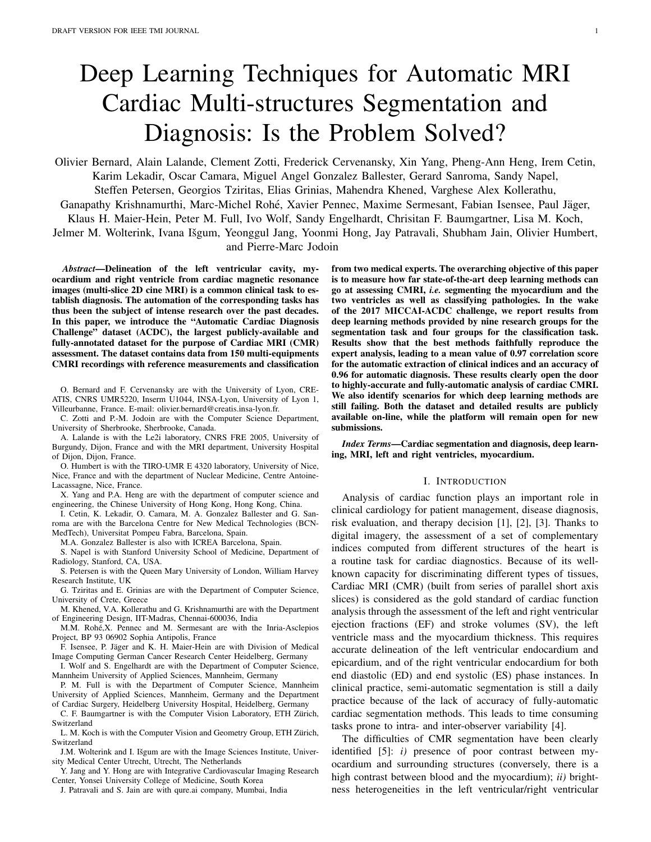# Deep Learning Techniques for Automatic MRI Cardiac Multi-structures Segmentation and Diagnosis: Is the Problem Solved?

Olivier Bernard, Alain Lalande, Clement Zotti, Frederick Cervenansky, Xin Yang, Pheng-Ann Heng, Irem Cetin, Karim Lekadir, Oscar Camara, Miguel Angel Gonzalez Ballester, Gerard Sanroma, Sandy Napel, Steffen Petersen, Georgios Tziritas, Elias Grinias, Mahendra Khened, Varghese Alex Kollerathu, Ganapathy Krishnamurthi, Marc-Michel Rohé, Xavier Pennec, Maxime Sermesant, Fabian Isensee, Paul Jäger, Klaus H. Maier-Hein, Peter M. Full, Ivo Wolf, Sandy Engelhardt, Chrisitan F. Baumgartner, Lisa M. Koch, Jelmer M. Wolterink, Ivana Išgum, Yeonggul Jang, Yoonmi Hong, Jay Patravali, Shubham Jain, Olivier Humbert, and Pierre-Marc Jodoin

*Abstract*—Delineation of the left ventricular cavity, myocardium and right ventricle from cardiac magnetic resonance images (multi-slice 2D cine MRI) is a common clinical task to establish diagnosis. The automation of the corresponding tasks has thus been the subject of intense research over the past decades. In this paper, we introduce the "Automatic Cardiac Diagnosis Challenge" dataset (ACDC), the largest publicly-available and fully-annotated dataset for the purpose of Cardiac MRI (CMR) assessment. The dataset contains data from 150 multi-equipments CMRI recordings with reference measurements and classification

O. Bernard and F. Cervenansky are with the University of Lyon, CRE-ATIS, CNRS UMR5220, Inserm U1044, INSA-Lyon, University of Lyon 1, Villeurbanne, France. E-mail: olivier.bernard@creatis.insa-lyon.fr.

C. Zotti and P.-M. Jodoin are with the Computer Science Department, University of Sherbrooke, Sherbrooke, Canada.

A. Lalande is with the Le2i laboratory, CNRS FRE 2005, University of Burgundy, Dijon, France and with the MRI department, University Hospital of Dijon, Dijon, France.

O. Humbert is with the TIRO-UMR E 4320 laboratory, University of Nice, Nice, France and with the department of Nuclear Medicine, Centre Antoine-Lacassagne, Nice, France.

X. Yang and P.A. Heng are with the department of computer science and engineering, the Chinese University of Hong Kong, Hong Kong, China.

I. Cetin, K. Lekadir, O. Camara, M. A. Gonzalez Ballester and G. Sanroma are with the Barcelona Centre for New Medical Technologies (BCN-MedTech), Universitat Pompeu Fabra, Barcelona, Spain.

M.A. Gonzalez Ballester is also with ICREA Barcelona, Spain.

S. Napel is with Stanford University School of Medicine, Department of Radiology, Stanford, CA, USA.

S. Petersen is with the Queen Mary University of London, William Harvey Research Institute, UK

G. Tziritas and E. Grinias are with the Department of Computer Science, University of Crete, Greece

M. Khened, V.A. Kollerathu and G. Krishnamurthi are with the Department of Engineering Design, IIT-Madras, Chennai-600036, India

M.M. Rohé, X. Pennec and M. Sermesant are with the Inria-Asclepios Project, BP 93 06902 Sophia Antipolis, France

F. Isensee, P. Jäger and K. H. Maier-Hein are with Division of Medical Image Computing German Cancer Research Center Heidelberg, Germany

I. Wolf and S. Engelhardt are with the Department of Computer Science, Mannheim University of Applied Sciences, Mannheim, Germany

P. M. Full is with the Department of Computer Science, Mannheim University of Applied Sciences, Mannheim, Germany and the Department of Cardiac Surgery, Heidelberg University Hospital, Heidelberg, Germany

C. F. Baumgartner is with the Computer Vision Laboratory, ETH Zürich, Switzerland

L. M. Koch is with the Computer Vision and Geometry Group, ETH Zürich, Switzerland

J.M. Wolterink and I. Išgum are with the Image Sciences Institute, University Medical Center Utrecht, Utrecht, The Netherlands

Y. Jang and Y. Hong are with Integrative Cardiovascular Imaging Research Center, Yonsei University College of Medicine, South Korea

J. Patravali and S. Jain are with qure.ai company, Mumbai, India

from two medical experts. The overarching objective of this paper is to measure how far state-of-the-art deep learning methods can go at assessing CMRI, *i.e.* segmenting the myocardium and the two ventricles as well as classifying pathologies. In the wake of the 2017 MICCAI-ACDC challenge, we report results from deep learning methods provided by nine research groups for the segmentation task and four groups for the classification task. Results show that the best methods faithfully reproduce the expert analysis, leading to a mean value of 0.97 correlation score for the automatic extraction of clinical indices and an accuracy of 0.96 for automatic diagnosis. These results clearly open the door to highly-accurate and fully-automatic analysis of cardiac CMRI. We also identify scenarios for which deep learning methods are still failing. Both the dataset and detailed results are publicly available on-line, while the platform will remain open for new submissions.

*Index Terms*—Cardiac segmentation and diagnosis, deep learning, MRI, left and right ventricles, myocardium.

## I. INTRODUCTION

Analysis of cardiac function plays an important role in clinical cardiology for patient management, disease diagnosis, risk evaluation, and therapy decision [1], [2], [3]. Thanks to digital imagery, the assessment of a set of complementary indices computed from different structures of the heart is a routine task for cardiac diagnostics. Because of its wellknown capacity for discriminating different types of tissues, Cardiac MRI (CMR) (built from series of parallel short axis slices) is considered as the gold standard of cardiac function analysis through the assessment of the left and right ventricular ejection fractions (EF) and stroke volumes (SV), the left ventricle mass and the myocardium thickness. This requires accurate delineation of the left ventricular endocardium and epicardium, and of the right ventricular endocardium for both end diastolic (ED) and end systolic (ES) phase instances. In clinical practice, semi-automatic segmentation is still a daily practice because of the lack of accuracy of fully-automatic cardiac segmentation methods. This leads to time consuming tasks prone to intra- and inter-observer variability [4].

The difficulties of CMR segmentation have been clearly identified [5]: *i)* presence of poor contrast between myocardium and surrounding structures (conversely, there is a high contrast between blood and the myocardium); *ii)* brightness heterogeneities in the left ventricular/right ventricular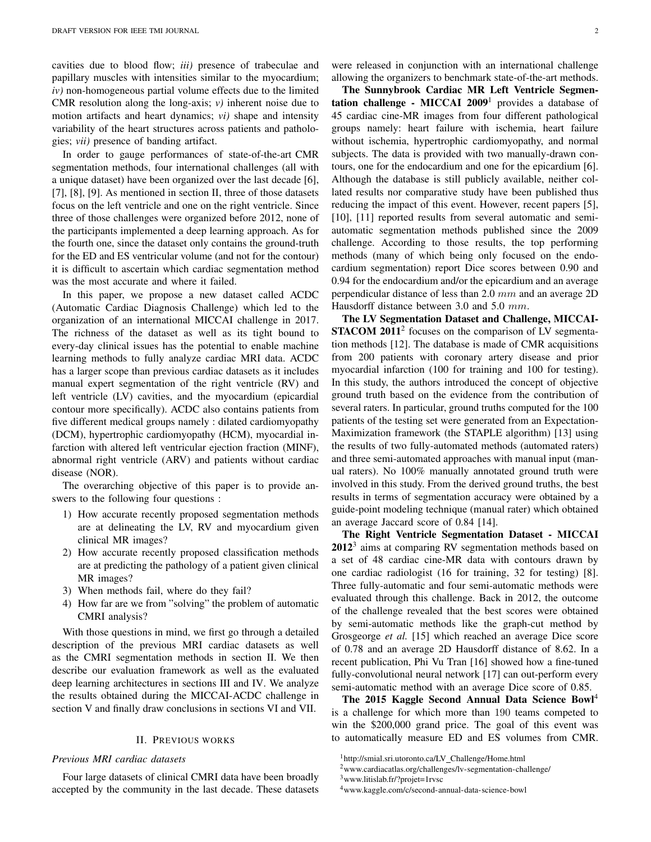cavities due to blood flow; *iii)* presence of trabeculae and papillary muscles with intensities similar to the myocardium; *iv)* non-homogeneous partial volume effects due to the limited CMR resolution along the long-axis;  $v$ ) inherent noise due to motion artifacts and heart dynamics; *vi)* shape and intensity variability of the heart structures across patients and pathologies; *vii)* presence of banding artifact.

In order to gauge performances of state-of-the-art CMR segmentation methods, four international challenges (all with a unique dataset) have been organized over the last decade [6], [7], [8], [9]. As mentioned in section II, three of those datasets focus on the left ventricle and one on the right ventricle. Since three of those challenges were organized before 2012, none of the participants implemented a deep learning approach. As for the fourth one, since the dataset only contains the ground-truth for the ED and ES ventricular volume (and not for the contour) it is difficult to ascertain which cardiac segmentation method was the most accurate and where it failed.

In this paper, we propose a new dataset called ACDC (Automatic Cardiac Diagnosis Challenge) which led to the organization of an international MICCAI challenge in 2017. The richness of the dataset as well as its tight bound to every-day clinical issues has the potential to enable machine learning methods to fully analyze cardiac MRI data. ACDC has a larger scope than previous cardiac datasets as it includes manual expert segmentation of the right ventricle (RV) and left ventricle (LV) cavities, and the myocardium (epicardial contour more specifically). ACDC also contains patients from five different medical groups namely : dilated cardiomyopathy (DCM), hypertrophic cardiomyopathy (HCM), myocardial infarction with altered left ventricular ejection fraction (MINF), abnormal right ventricle (ARV) and patients without cardiac disease (NOR).

The overarching objective of this paper is to provide answers to the following four questions :

- 1) How accurate recently proposed segmentation methods are at delineating the LV, RV and myocardium given clinical MR images?
- 2) How accurate recently proposed classification methods are at predicting the pathology of a patient given clinical MR images?
- 3) When methods fail, where do they fail?
- 4) How far are we from "solving" the problem of automatic CMRI analysis?

With those questions in mind, we first go through a detailed description of the previous MRI cardiac datasets as well as the CMRI segmentation methods in section II. We then describe our evaluation framework as well as the evaluated deep learning architectures in sections III and IV. We analyze the results obtained during the MICCAI-ACDC challenge in section V and finally draw conclusions in sections VI and VII.

#### II. PREVIOUS WORKS

# *Previous MRI cardiac datasets*

Four large datasets of clinical CMRI data have been broadly accepted by the community in the last decade. These datasets were released in conjunction with an international challenge allowing the organizers to benchmark state-of-the-art methods.

The Sunnybrook Cardiac MR Left Ventricle Segmentation challenge - MICCAI  $2009<sup>1</sup>$  provides a database of 45 cardiac cine-MR images from four different pathological groups namely: heart failure with ischemia, heart failure without ischemia, hypertrophic cardiomyopathy, and normal subjects. The data is provided with two manually-drawn contours, one for the endocardium and one for the epicardium [6]. Although the database is still publicly available, neither collated results nor comparative study have been published thus reducing the impact of this event. However, recent papers [5], [10], [11] reported results from several automatic and semiautomatic segmentation methods published since the 2009 challenge. According to those results, the top performing methods (many of which being only focused on the endocardium segmentation) report Dice scores between 0.90 and 0.94 for the endocardium and/or the epicardium and an average perpendicular distance of less than 2.0 mm and an average 2D Hausdorff distance between 3.0 and 5.0 mm.

The LV Segmentation Dataset and Challenge, MICCAI-STACOM 2011<sup>2</sup> focuses on the comparison of LV segmentation methods [12]. The database is made of CMR acquisitions from 200 patients with coronary artery disease and prior myocardial infarction (100 for training and 100 for testing). In this study, the authors introduced the concept of objective ground truth based on the evidence from the contribution of several raters. In particular, ground truths computed for the 100 patients of the testing set were generated from an Expectation-Maximization framework (the STAPLE algorithm) [13] using the results of two fully-automated methods (automated raters) and three semi-automated approaches with manual input (manual raters). No 100% manually annotated ground truth were involved in this study. From the derived ground truths, the best results in terms of segmentation accuracy were obtained by a guide-point modeling technique (manual rater) which obtained an average Jaccard score of 0.84 [14].

The Right Ventricle Segmentation Dataset - MICCAI  $2012<sup>3</sup>$  aims at comparing RV segmentation methods based on a set of 48 cardiac cine-MR data with contours drawn by one cardiac radiologist (16 for training, 32 for testing) [8]. Three fully-automatic and four semi-automatic methods were evaluated through this challenge. Back in 2012, the outcome of the challenge revealed that the best scores were obtained by semi-automatic methods like the graph-cut method by Grosgeorge *et al.* [15] which reached an average Dice score of 0.78 and an average 2D Hausdorff distance of 8.62. In a recent publication, Phi Vu Tran [16] showed how a fine-tuned fully-convolutional neural network [17] can out-perform every semi-automatic method with an average Dice score of 0.85.

The 2015 Kaggle Second Annual Data Science Bowl<sup>4</sup> is a challenge for which more than 190 teams competed to win the \$200,000 grand price. The goal of this event was to automatically measure ED and ES volumes from CMR.

<sup>1</sup>http://smial.sri.utoronto.ca/LV Challenge/Home.html

<sup>2</sup>www.cardiacatlas.org/challenges/lv-segmentation-challenge/

<sup>3</sup>www.litislab.fr/?projet=1rvsc

<sup>4</sup>www.kaggle.com/c/second-annual-data-science-bowl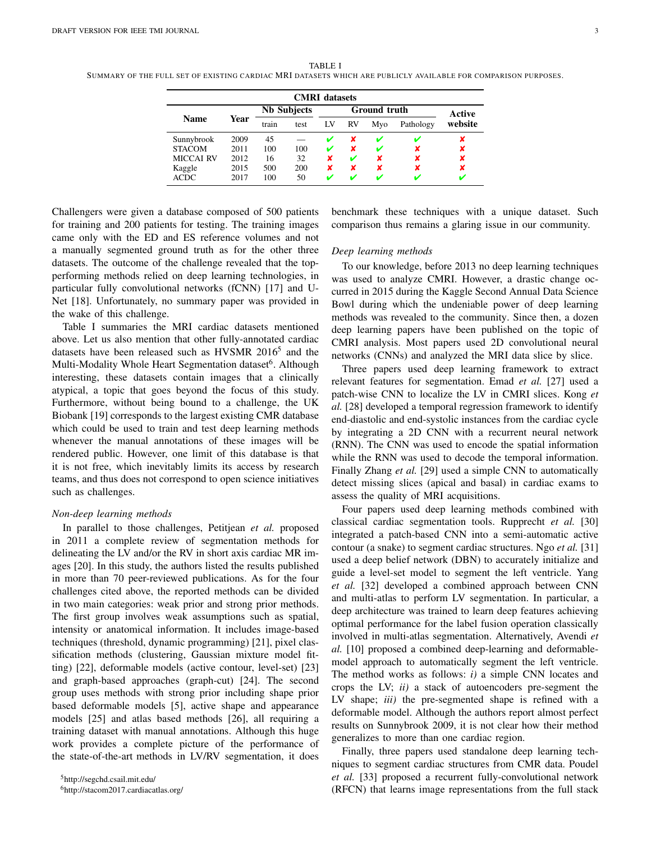TABLE I SUMMARY OF THE FULL SET OF EXISTING CARDIAC MRI DATASETS WHICH ARE PUBLICLY AVAILABLE FOR COMPARISON PURPOSES.

| <b>CMRI</b> datasets |      |                    |      |    |    |              |           |         |  |  |  |
|----------------------|------|--------------------|------|----|----|--------------|-----------|---------|--|--|--|
|                      |      | <b>Nb Subjects</b> |      |    |    | Ground truth | Active    |         |  |  |  |
| <b>Name</b>          | Year | train              | test | LV | RV | Myo          | Pathology | website |  |  |  |
| Sunnybrook           | 2009 | 45                 |      |    | x  | v            | v         | x       |  |  |  |
| <b>STACOM</b>        | 2011 | 100                | 100  | v  | x  | v            | ×         | x       |  |  |  |
| <b>MICCAI RV</b>     | 2012 | 16                 | 32   | x  | v  | x            |           | x       |  |  |  |
| Kaggle               | 2015 | 500                | 200  | ×  | x  | x            | x         | x       |  |  |  |
| <b>ACDC</b>          | 2017 | 100                | 50   | v  | v  | v            | v         |         |  |  |  |

Challengers were given a database composed of 500 patients for training and 200 patients for testing. The training images came only with the ED and ES reference volumes and not a manually segmented ground truth as for the other three datasets. The outcome of the challenge revealed that the topperforming methods relied on deep learning technologies, in particular fully convolutional networks (fCNN) [17] and U-Net [18]. Unfortunately, no summary paper was provided in the wake of this challenge.

Table I summaries the MRI cardiac datasets mentioned above. Let us also mention that other fully-annotated cardiac datasets have been released such as HVSMR 2016<sup>5</sup> and the Multi-Modality Whole Heart Segmentation dataset<sup>6</sup>. Although interesting, these datasets contain images that a clinically atypical, a topic that goes beyond the focus of this study. Furthermore, without being bound to a challenge, the UK Biobank [19] corresponds to the largest existing CMR database which could be used to train and test deep learning methods whenever the manual annotations of these images will be rendered public. However, one limit of this database is that it is not free, which inevitably limits its access by research teams, and thus does not correspond to open science initiatives such as challenges.

# *Non-deep learning methods*

In parallel to those challenges, Petitjean *et al.* proposed in 2011 a complete review of segmentation methods for delineating the LV and/or the RV in short axis cardiac MR images [20]. In this study, the authors listed the results published in more than 70 peer-reviewed publications. As for the four challenges cited above, the reported methods can be divided in two main categories: weak prior and strong prior methods. The first group involves weak assumptions such as spatial, intensity or anatomical information. It includes image-based techniques (threshold, dynamic programming) [21], pixel classification methods (clustering, Gaussian mixture model fitting) [22], deformable models (active contour, level-set) [23] and graph-based approaches (graph-cut) [24]. The second group uses methods with strong prior including shape prior based deformable models [5], active shape and appearance models [25] and atlas based methods [26], all requiring a training dataset with manual annotations. Although this huge work provides a complete picture of the performance of the state-of-the-art methods in LV/RV segmentation, it does

<sup>6</sup>http://stacom2017.cardiacatlas.org/

benchmark these techniques with a unique dataset. Such comparison thus remains a glaring issue in our community.

#### *Deep learning methods*

To our knowledge, before 2013 no deep learning techniques was used to analyze CMRI. However, a drastic change occurred in 2015 during the Kaggle Second Annual Data Science Bowl during which the undeniable power of deep learning methods was revealed to the community. Since then, a dozen deep learning papers have been published on the topic of CMRI analysis. Most papers used 2D convolutional neural networks (CNNs) and analyzed the MRI data slice by slice.

Three papers used deep learning framework to extract relevant features for segmentation. Emad *et al.* [27] used a patch-wise CNN to localize the LV in CMRI slices. Kong *et al.* [28] developed a temporal regression framework to identify end-diastolic and end-systolic instances from the cardiac cycle by integrating a 2D CNN with a recurrent neural network (RNN). The CNN was used to encode the spatial information while the RNN was used to decode the temporal information. Finally Zhang *et al.* [29] used a simple CNN to automatically detect missing slices (apical and basal) in cardiac exams to assess the quality of MRI acquisitions.

Four papers used deep learning methods combined with classical cardiac segmentation tools. Rupprecht *et al.* [30] integrated a patch-based CNN into a semi-automatic active contour (a snake) to segment cardiac structures. Ngo *et al.* [31] used a deep belief network (DBN) to accurately initialize and guide a level-set model to segment the left ventricle. Yang *et al.* [32] developed a combined approach between CNN and multi-atlas to perform LV segmentation. In particular, a deep architecture was trained to learn deep features achieving optimal performance for the label fusion operation classically involved in multi-atlas segmentation. Alternatively, Avendi *et al.* [10] proposed a combined deep-learning and deformablemodel approach to automatically segment the left ventricle. The method works as follows: *i)* a simple CNN locates and crops the LV; *ii)* a stack of autoencoders pre-segment the LV shape; *iii)* the pre-segmented shape is refined with a deformable model. Although the authors report almost perfect results on Sunnybrook 2009, it is not clear how their method generalizes to more than one cardiac region.

Finally, three papers used standalone deep learning techniques to segment cardiac structures from CMR data. Poudel *et al.* [33] proposed a recurrent fully-convolutional network (RFCN) that learns image representations from the full stack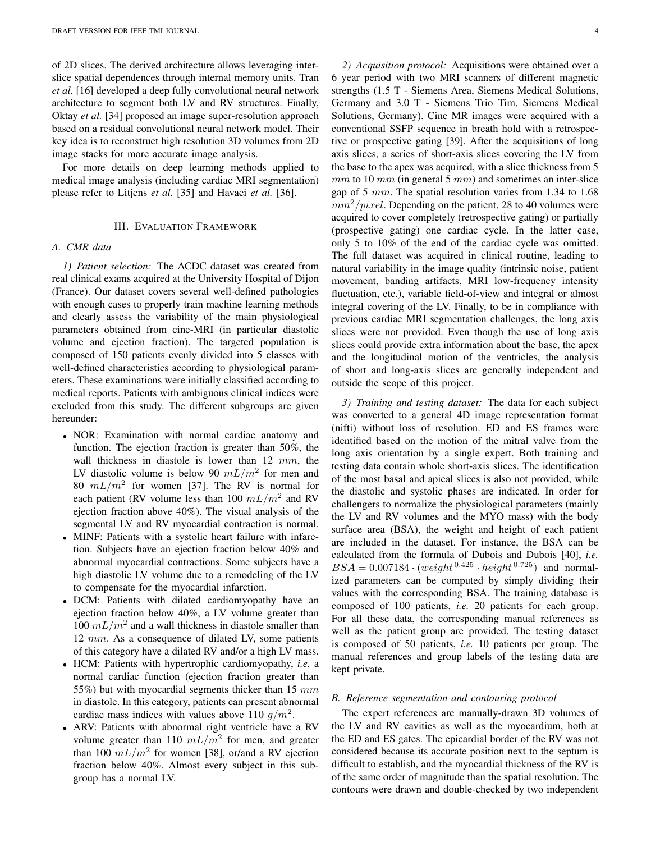of 2D slices. The derived architecture allows leveraging interslice spatial dependences through internal memory units. Tran *et al.* [16] developed a deep fully convolutional neural network architecture to segment both LV and RV structures. Finally, Oktay *et al.* [34] proposed an image super-resolution approach based on a residual convolutional neural network model. Their key idea is to reconstruct high resolution 3D volumes from 2D image stacks for more accurate image analysis.

For more details on deep learning methods applied to medical image analysis (including cardiac MRI segmentation) please refer to Litjens *et al.* [35] and Havaei *et al.* [36].

## III. EVALUATION FRAMEWORK

## *A. CMR data*

*1) Patient selection:* The ACDC dataset was created from real clinical exams acquired at the University Hospital of Dijon (France). Our dataset covers several well-defined pathologies with enough cases to properly train machine learning methods and clearly assess the variability of the main physiological parameters obtained from cine-MRI (in particular diastolic volume and ejection fraction). The targeted population is composed of 150 patients evenly divided into 5 classes with well-defined characteristics according to physiological parameters. These examinations were initially classified according to medical reports. Patients with ambiguous clinical indices were excluded from this study. The different subgroups are given hereunder:

- NOR: Examination with normal cardiac anatomy and function. The ejection fraction is greater than 50%, the wall thickness in diastole is lower than  $12 \, mm$ , the LV diastolic volume is below 90  $mL/m^2$  for men and 80  $mL/m^2$  for women [37]. The RV is normal for each patient (RV volume less than 100  $mL/m^2$  and RV ejection fraction above 40%). The visual analysis of the segmental LV and RV myocardial contraction is normal.
- MINF: Patients with a systolic heart failure with infarction. Subjects have an ejection fraction below 40% and abnormal myocardial contractions. Some subjects have a high diastolic LV volume due to a remodeling of the LV to compensate for the myocardial infarction.
- DCM: Patients with dilated cardiomyopathy have an ejection fraction below 40%, a LV volume greater than  $100 \; mL/m^2$  and a wall thickness in diastole smaller than 12 mm. As a consequence of dilated LV, some patients of this category have a dilated RV and/or a high LV mass.
- HCM: Patients with hypertrophic cardiomyopathy, *i.e.* a normal cardiac function (ejection fraction greater than 55%) but with myocardial segments thicker than 15  $mm$ in diastole. In this category, patients can present abnormal cardiac mass indices with values above 110  $g/m^2$ .
- ARV: Patients with abnormal right ventricle have a RV volume greater than 110  $mL/m^2$  for men, and greater than 100  $mL/m^2$  for women [38], or/and a RV ejection fraction below 40%. Almost every subject in this subgroup has a normal LV.

*2) Acquisition protocol:* Acquisitions were obtained over a 6 year period with two MRI scanners of different magnetic strengths (1.5 T - Siemens Area, Siemens Medical Solutions, Germany and 3.0 T - Siemens Trio Tim, Siemens Medical Solutions, Germany). Cine MR images were acquired with a conventional SSFP sequence in breath hold with a retrospective or prospective gating [39]. After the acquisitions of long axis slices, a series of short-axis slices covering the LV from the base to the apex was acquired, with a slice thickness from 5  $mm$  to 10  $mm$  (in general 5  $mm$ ) and sometimes an inter-slice gap of 5  $mm$ . The spatial resolution varies from 1.34 to 1.68  $mm^2/pixel$ . Depending on the patient, 28 to 40 volumes were acquired to cover completely (retrospective gating) or partially (prospective gating) one cardiac cycle. In the latter case, only 5 to 10% of the end of the cardiac cycle was omitted. The full dataset was acquired in clinical routine, leading to natural variability in the image quality (intrinsic noise, patient movement, banding artifacts, MRI low-frequency intensity fluctuation, etc.), variable field-of-view and integral or almost integral covering of the LV. Finally, to be in compliance with previous cardiac MRI segmentation challenges, the long axis slices were not provided. Even though the use of long axis slices could provide extra information about the base, the apex and the longitudinal motion of the ventricles, the analysis of short and long-axis slices are generally independent and outside the scope of this project.

*3) Training and testing dataset:* The data for each subject was converted to a general 4D image representation format (nifti) without loss of resolution. ED and ES frames were identified based on the motion of the mitral valve from the long axis orientation by a single expert. Both training and testing data contain whole short-axis slices. The identification of the most basal and apical slices is also not provided, while the diastolic and systolic phases are indicated. In order for challengers to normalize the physiological parameters (mainly the LV and RV volumes and the MYO mass) with the body surface area (BSA), the weight and height of each patient are included in the dataset. For instance, the BSA can be calculated from the formula of Dubois and Dubois [40], *i.e.*  $BSA = 0.007184 \cdot (weight^{0.425} \cdot height^{0.725})$  and normalized parameters can be computed by simply dividing their values with the corresponding BSA. The training database is composed of 100 patients, *i.e.* 20 patients for each group. For all these data, the corresponding manual references as well as the patient group are provided. The testing dataset is composed of 50 patients, *i.e.* 10 patients per group. The manual references and group labels of the testing data are kept private.

### *B. Reference segmentation and contouring protocol*

The expert references are manually-drawn 3D volumes of the LV and RV cavities as well as the myocardium, both at the ED and ES gates. The epicardial border of the RV was not considered because its accurate position next to the septum is difficult to establish, and the myocardial thickness of the RV is of the same order of magnitude than the spatial resolution. The contours were drawn and double-checked by two independent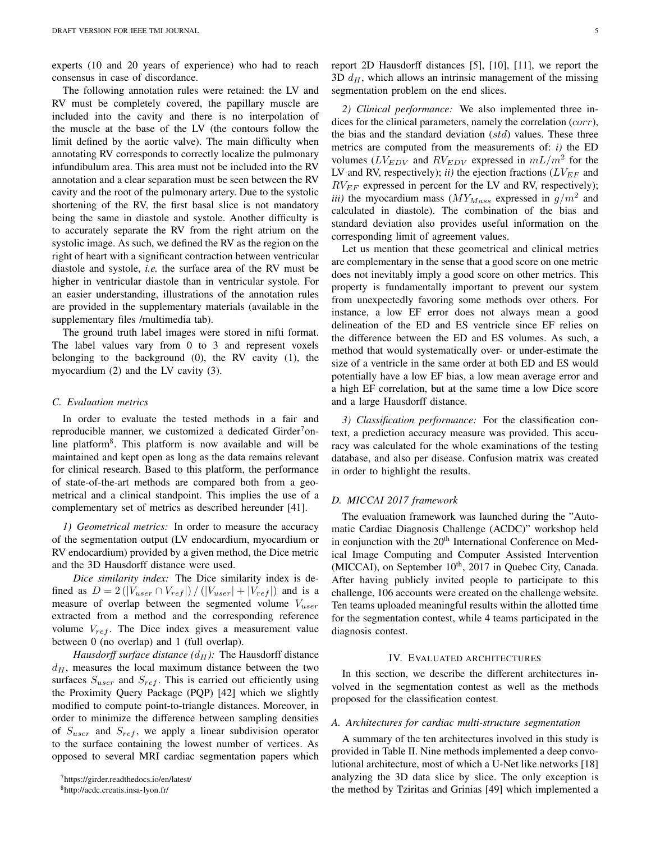experts (10 and 20 years of experience) who had to reach consensus in case of discordance.

The following annotation rules were retained: the LV and RV must be completely covered, the papillary muscle are included into the cavity and there is no interpolation of the muscle at the base of the LV (the contours follow the limit defined by the aortic valve). The main difficulty when annotating RV corresponds to correctly localize the pulmonary infundibulum area. This area must not be included into the RV annotation and a clear separation must be seen between the RV cavity and the root of the pulmonary artery. Due to the systolic shortening of the RV, the first basal slice is not mandatory being the same in diastole and systole. Another difficulty is to accurately separate the RV from the right atrium on the systolic image. As such, we defined the RV as the region on the right of heart with a significant contraction between ventricular diastole and systole, *i.e.* the surface area of the RV must be higher in ventricular diastole than in ventricular systole. For an easier understanding, illustrations of the annotation rules are provided in the supplementary materials (available in the supplementary files /multimedia tab).

The ground truth label images were stored in nifti format. The label values vary from 0 to 3 and represent voxels belonging to the background (0), the RV cavity (1), the myocardium (2) and the LV cavity (3).

# *C. Evaluation metrics*

In order to evaluate the tested methods in a fair and reproducible manner, we customized a dedicated Girder<sup>7</sup>online platform<sup>8</sup>. This platform is now available and will be maintained and kept open as long as the data remains relevant for clinical research. Based to this platform, the performance of state-of-the-art methods are compared both from a geometrical and a clinical standpoint. This implies the use of a complementary set of metrics as described hereunder [41].

*1) Geometrical metrics:* In order to measure the accuracy of the segmentation output (LV endocardium, myocardium or RV endocardium) provided by a given method, the Dice metric and the 3D Hausdorff distance were used.

*Dice similarity index:* The Dice similarity index is defined as  $D = 2(|V_{user} \cap V_{ref}|)/(|V_{user}| + |V_{ref}|)$  and is a measure of overlap between the segmented volume  $V_{user}$ extracted from a method and the corresponding reference volume  $V_{ref}$ . The Dice index gives a measurement value between 0 (no overlap) and 1 (full overlap).

*Hausdorff surface distance*  $(d_H)$ : The Hausdorff distance  $d_H$ , measures the local maximum distance between the two surfaces  $S_{user}$  and  $S_{ref}$ . This is carried out efficiently using the Proximity Query Package (PQP) [42] which we slightly modified to compute point-to-triangle distances. Moreover, in order to minimize the difference between sampling densities of  $S_{user}$  and  $S_{ref}$ , we apply a linear subdivision operator to the surface containing the lowest number of vertices. As opposed to several MRI cardiac segmentation papers which report 2D Hausdorff distances [5], [10], [11], we report the 3D  $d_H$ , which allows an intrinsic management of the missing segmentation problem on the end slices.

*2) Clinical performance:* We also implemented three indices for the clinical parameters, namely the correlation (corr), the bias and the standard deviation  $(std)$  values. These three metrics are computed from the measurements of: *i)* the ED volumes ( $LV_{EDV}$  and  $RV_{EDV}$  expressed in  $mL/m^2$  for the LV and RV, respectively);  $ii)$  the ejection fractions ( $LV_{EF}$  and  $RV_{EF}$  expressed in percent for the LV and RV, respectively); *iii*) the myocardium mass  $(MY_{Mass})$  expressed in  $g/m^2$  and calculated in diastole). The combination of the bias and standard deviation also provides useful information on the corresponding limit of agreement values.

Let us mention that these geometrical and clinical metrics are complementary in the sense that a good score on one metric does not inevitably imply a good score on other metrics. This property is fundamentally important to prevent our system from unexpectedly favoring some methods over others. For instance, a low EF error does not always mean a good delineation of the ED and ES ventricle since EF relies on the difference between the ED and ES volumes. As such, a method that would systematically over- or under-estimate the size of a ventricle in the same order at both ED and ES would potentially have a low EF bias, a low mean average error and a high EF correlation, but at the same time a low Dice score and a large Hausdorff distance.

*3) Classification performance:* For the classification context, a prediction accuracy measure was provided. This accuracy was calculated for the whole examinations of the testing database, and also per disease. Confusion matrix was created in order to highlight the results.

### *D. MICCAI 2017 framework*

The evaluation framework was launched during the "Automatic Cardiac Diagnosis Challenge (ACDC)" workshop held in conjunction with the  $20<sup>th</sup>$  International Conference on Medical Image Computing and Computer Assisted Intervention (MICCAI), on September 10<sup>th</sup>, 2017 in Quebec City, Canada. After having publicly invited people to participate to this challenge, 106 accounts were created on the challenge website. Ten teams uploaded meaningful results within the allotted time for the segmentation contest, while 4 teams participated in the diagnosis contest.

#### IV. EVALUATED ARCHITECTURES

In this section, we describe the different architectures involved in the segmentation contest as well as the methods proposed for the classification contest.

### *A. Architectures for cardiac multi-structure segmentation*

A summary of the ten architectures involved in this study is provided in Table II. Nine methods implemented a deep convolutional architecture, most of which a U-Net like networks [18] analyzing the 3D data slice by slice. The only exception is the method by Tziritas and Grinias [49] which implemented a

<sup>7</sup>https://girder.readthedocs.io/en/latest/

<sup>8</sup>http://acdc.creatis.insa-lyon.fr/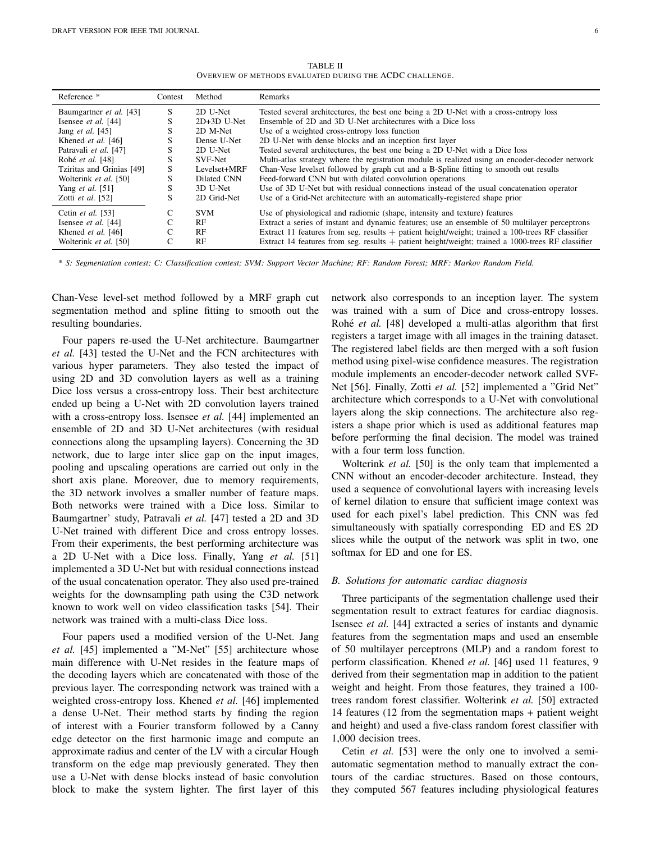TABLE II OVERVIEW OF METHODS EVALUATED DURING THE ACDC CHALLENGE.

| Reference *               | Contest | Method        | Remarks                                                                                             |
|---------------------------|---------|---------------|-----------------------------------------------------------------------------------------------------|
| Baumgartner et al. [43]   | S       | 2D U-Net      | Tested several architectures, the best one being a 2D U-Net with a cross-entropy loss               |
| Isensee et al. [44]       |         | $2D+3D$ U-Net | Ensemble of 2D and 3D U-Net architectures with a Dice loss                                          |
| Jang <i>et al.</i> [45]   |         | 2D M-Net      | Use of a weighted cross-entropy loss function                                                       |
| Khened et al. [46]        |         | Dense U-Net   | 2D U-Net with dense blocks and an inception first layer                                             |
| Patravali et al. [47]     |         | 2D U-Net      | Tested several architectures, the best one being a 2D U-Net with a Dice loss                        |
| Rohé et al. [48]          |         | SVF-Net       | Multi-atlas strategy where the registration module is realized using an encoder-decoder network     |
| Tziritas and Grinias [49] |         | Levelset+MRF  | Chan-Vese levelset followed by graph cut and a B-Spline fitting to smooth out results               |
| Wolterink et al. [50]     |         | Dilated CNN   | Feed-forward CNN but with dilated convolution operations                                            |
| Yang et al. [51]          |         | 3D U-Net      | Use of 3D U-Net but with residual connections instead of the usual concatenation operator           |
| Zotti et al. $[52]$       |         | 2D Grid-Net   | Use of a Grid-Net architecture with an automatically-registered shape prior                         |
| Cetin et al. [53]         |         | <b>SVM</b>    | Use of physiological and radiomic (shape, intensity and texture) features                           |
| Isensee et al. [44]       | C       | <b>RF</b>     | Extract a series of instant and dynamic features; use an ensemble of 50 multilayer perceptrons      |
| Khened et al. [46]        | C       | <b>RF</b>     | Extract 11 features from seg. results $+$ patient height/weight; trained a 100-trees RF classifier  |
| Wolterink et al. [50]     | $\sim$  | RF            | Extract 14 features from seg. results $+$ patient height/weight; trained a 1000-trees RF classifier |

\* *S: Segmentation contest; C: Classification contest; SVM: Support Vector Machine; RF: Random Forest; MRF: Markov Random Field.*

Chan-Vese level-set method followed by a MRF graph cut segmentation method and spline fitting to smooth out the resulting boundaries.

Four papers re-used the U-Net architecture. Baumgartner *et al.* [43] tested the U-Net and the FCN architectures with various hyper parameters. They also tested the impact of using 2D and 3D convolution layers as well as a training Dice loss versus a cross-entropy loss. Their best architecture ended up being a U-Net with 2D convolution layers trained with a cross-entropy loss. Isensee *et al.* [44] implemented an ensemble of 2D and 3D U-Net architectures (with residual connections along the upsampling layers). Concerning the 3D network, due to large inter slice gap on the input images, pooling and upscaling operations are carried out only in the short axis plane. Moreover, due to memory requirements, the 3D network involves a smaller number of feature maps. Both networks were trained with a Dice loss. Similar to Baumgartner' study, Patravali *et al.* [47] tested a 2D and 3D U-Net trained with different Dice and cross entropy losses. From their experiments, the best performing architecture was a 2D U-Net with a Dice loss. Finally, Yang *et al.* [51] implemented a 3D U-Net but with residual connections instead of the usual concatenation operator. They also used pre-trained weights for the downsampling path using the C3D network known to work well on video classification tasks [54]. Their network was trained with a multi-class Dice loss.

Four papers used a modified version of the U-Net. Jang *et al.* [45] implemented a "M-Net" [55] architecture whose main difference with U-Net resides in the feature maps of the decoding layers which are concatenated with those of the previous layer. The corresponding network was trained with a weighted cross-entropy loss. Khened *et al.* [46] implemented a dense U-Net. Their method starts by finding the region of interest with a Fourier transform followed by a Canny edge detector on the first harmonic image and compute an approximate radius and center of the LV with a circular Hough transform on the edge map previously generated. They then use a U-Net with dense blocks instead of basic convolution block to make the system lighter. The first layer of this network also corresponds to an inception layer. The system was trained with a sum of Dice and cross-entropy losses. Rohé *et al.* [48] developed a multi-atlas algorithm that first registers a target image with all images in the training dataset. The registered label fields are then merged with a soft fusion method using pixel-wise confidence measures. The registration module implements an encoder-decoder network called SVF-Net [56]. Finally, Zotti *et al.* [52] implemented a "Grid Net" architecture which corresponds to a U-Net with convolutional layers along the skip connections. The architecture also registers a shape prior which is used as additional features map before performing the final decision. The model was trained with a four term loss function.

Wolterink *et al.* [50] is the only team that implemented a CNN without an encoder-decoder architecture. Instead, they used a sequence of convolutional layers with increasing levels of kernel dilation to ensure that sufficient image context was used for each pixel's label prediction. This CNN was fed simultaneously with spatially corresponding ED and ES 2D slices while the output of the network was split in two, one softmax for ED and one for ES.

### *B. Solutions for automatic cardiac diagnosis*

Three participants of the segmentation challenge used their segmentation result to extract features for cardiac diagnosis. Isensee *et al.* [44] extracted a series of instants and dynamic features from the segmentation maps and used an ensemble of 50 multilayer perceptrons (MLP) and a random forest to perform classification. Khened *et al.* [46] used 11 features, 9 derived from their segmentation map in addition to the patient weight and height. From those features, they trained a 100 trees random forest classifier. Wolterink *et al.* [50] extracted 14 features (12 from the segmentation maps + patient weight and height) and used a five-class random forest classifier with 1,000 decision trees.

Cetin *et al.* [53] were the only one to involved a semiautomatic segmentation method to manually extract the contours of the cardiac structures. Based on those contours, they computed 567 features including physiological features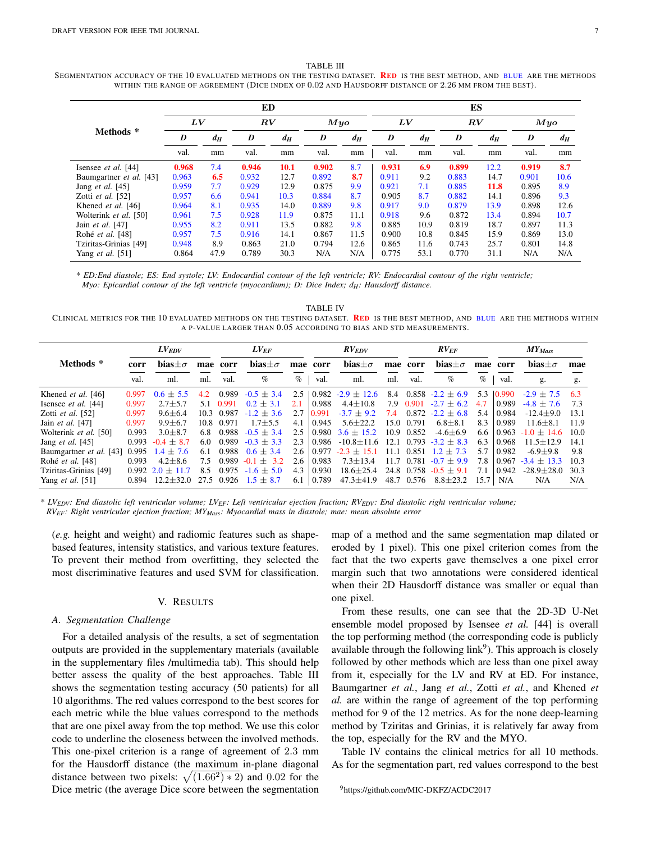#### TABLE III

SEGMENTATION ACCURACY OF THE 10 EVALUATED METHODS ON THE TESTING DATASET. RED IS THE BEST METHOD, AND BLUE ARE THE METHODS WITHIN THE RANGE OF AGREEMENT (DICE INDEX OF 0.02 AND HAUSDORFF DISTANCE OF 2.26 MM FROM THE BEST).

|                         |                 | ED    |                 |       |       |       |       |       | ES    |       |       |       |  |  |  |
|-------------------------|-----------------|-------|-----------------|-------|-------|-------|-------|-------|-------|-------|-------|-------|--|--|--|
|                         | $\bm{L} \bm{V}$ |       | $\bm{R} \bm{V}$ |       | Myo   |       | LV    |       | RV    |       | Myo   |       |  |  |  |
| Methods *               | D               | $d_H$ | D               | $d_H$ | D     | $d_H$ | D     | $d_H$ | D     | $d_H$ | D     | $d_H$ |  |  |  |
|                         | val.            | mm    | val.            | mm    | val.  | mm    | val.  | mm    | val.  | mm    | val.  | mm    |  |  |  |
| Isensee et al. [44]     | 0.968           | 7.4   | 0.946           | 10.1  | 0.902 | 8.7   | 0.931 | 6.9   | 0.899 | 12.2  | 0.919 | 8.7   |  |  |  |
| Baumgartner et al. [43] | 0.963           | 6.5   | 0.932           | 12.7  | 0.892 | 8.7   | 0.911 | 9.2   | 0.883 | 14.7  | 0.901 | 10.6  |  |  |  |
| Jang et al. [45]        | 0.959           | 7.7   | 0.929           | 12.9  | 0.875 | 9.9   | 0.921 | 7.1   | 0.885 | 11.8  | 0.895 | 8.9   |  |  |  |
| Zotti et al. [52]       | 0.957           | 6.6   | 0.941           | 10.3  | 0.884 | 8.7   | 0.905 | 8.7   | 0.882 | 14.1  | 0.896 | 9.3   |  |  |  |
| Khened et al. [46]      | 0.964           | 8.1   | 0.935           | 14.0  | 0.889 | 9.8   | 0.917 | 9.0   | 0.879 | 13.9  | 0.898 | 12.6  |  |  |  |
| Wolterink et al. [50]   | 0.961           | 7.5   | 0.928           | 11.9  | 0.875 | 11.1  | 0.918 | 9.6   | 0.872 | 13.4  | 0.894 | 10.7  |  |  |  |
| Jain et al. [47]        | 0.955           | 8.2   | 0.911           | 13.5  | 0.882 | 9.8   | 0.885 | 10.9  | 0.819 | 18.7  | 0.897 | 11.3  |  |  |  |
| Rohé et al. [48]        | 0.957           | 7.5   | 0.916           | 14.1  | 0.867 | 11.5  | 0.900 | 10.8  | 0.845 | 15.9  | 0.869 | 13.0  |  |  |  |
| Tziritas-Grinias [49]   | 0.948           | 8.9   | 0.863           | 21.0  | 0.794 | 12.6  | 0.865 | 11.6  | 0.743 | 25.7  | 0.801 | 14.8  |  |  |  |
| Yang et al. [51]        | 0.864           | 47.9  | 0.789           | 30.3  | N/A   | N/A   | 0.775 | 53.1  | 0.770 | 31.1  | N/A   | N/A   |  |  |  |

\* *ED:End diastole; ES: End systole; LV: Endocardial contour of the left ventricle; RV: Endocardial contour of the right ventricle; Myo: Epicardial contour of the left ventricle (myocardium); D: Dice Index;*  $d_H$ *: Hausdorff distance.* 

TABLE IV CLINICAL METRICS FOR THE 10 EVALUATED METHODS ON THE TESTING DATASET. RED IS THE BEST METHOD, AND BLUE ARE THE METHODS WITHIN A P-VALUE LARGER THAN 0.05 ACCORDING TO BIAS AND STD MEASUREMENTS.

|                         |       | $LV_{EDV}$        |      |       | $L V_{EF}$        |      |       | $RV_{EDV}$        |      |       | $RV_{EF}$           |      |        | $MY_{Mass}$       |      |
|-------------------------|-------|-------------------|------|-------|-------------------|------|-------|-------------------|------|-------|---------------------|------|--------|-------------------|------|
| Methods *               | corr  | bias $\pm \sigma$ | mae  | corr  | bias $\pm \sigma$ | mae  | corr  | bias $\pm \sigma$ | mae  | corr  | bias $\pm \sigma$   | mae  | corr   | bias $\pm \sigma$ | mae  |
|                         | val.  | ml.               | ml.  | val.  | $\%$              | $\%$ | val.  | ml.               | ml.  | val.  | $\%$                | $\%$ | val.   | g.                | g.   |
| Khened et al. [46]      | 0.997 | $0.6 + 5.5$       | 42   | 0.989 | $-0.5 + 3.4$      | 2.5  | 0.982 | $-2.9 + 12.6$     | 84   | 0.858 | $-2.2 + 6.9$        | 5.3  | 10.990 | $-2.9$<br>$+7.5$  | 63   |
| Isensee et al. [44]     | 0.997 | $2.7 + 5.7$       | 5.1  | 0.991 | $0.2 + 3.1$       |      | 0.988 | $4.4 + 10.8$      | 7.9  | 0.901 | $-2.7$<br>$\pm 6.2$ | 4.7  | 0.989  | $-4.8 + 7.6$      | 73   |
| Zotti et al. [52]       | 0.997 | $9.6 \pm 6.4$     | 10.3 | 0.987 | $-1.2 + 3.6$      |      | 0.991 | $-3.7 + 9.2$      | 7.4  | 0.872 | $-2.2 + 6.8$        | 5.4  | 0.984  | $-12.4+9.0$       | 13.1 |
| Jain et al. [47]        | 0.997 | $9.9 + 6.7$       | 10.8 | 0.971 | $1.7 + 5.5$       | 4.1  | 0.945 | $5.6 + 22.2$      | 15.0 | 0.791 | $6.8 + 8.1$         | 8.3  | 0.989  | $11.6 + 8.1$      | 11.9 |
| Wolterink et al. [50]   | 0.993 | $3.0 + 8.7$       | 6.8  | 0.988 | $-0.5 + 3.4$      | 2.5  | 0.980 | $3.6 + 15.2$      | 10.9 | 0.852 | $-4.6 + 6.9$        | 6.6  | 0.963  | $-1.0 + 14.6$     | 10.0 |
| Jang <i>et al.</i> [45] | 0.993 | $-0.4 \pm 8.7$    | 6.0  | 0.989 | $-0.3 + 3.3$      | 2.3  | 0.986 | $-10.8 + 11.6$    | 12.1 | 0.793 | $-3.2 + 8.3$        | 6.3  | 0.968  | $11.5 + 12.9$     | 14.1 |
| Baumgartner et al. [43] | 0.995 | $1.4 + 7.6$       | 6.1  | 0.988 | $0.6 + 3.4$       | 2.6  | 0.977 | $-2.3 + 15.1$     | 11 1 | 0.851 | $12 + 73$           | 5.7  | 0.982  | $-6.9 + 9.8$      | 9.8  |
| Rohé et al. [48]        | 0.993 | $4.2 + 8.6$       | 7.5  | 0.989 | $-0.1$<br>$+3.2$  | 2.6  | 0.983 | $7.3 + 13.4$      | 11.7 | 0.781 | $-0.7 + 9.9$        | 7.8  | 0.967  | $-3.4 \pm 13.3$   | 10.3 |
| Tziritas-Grinias [49]   | 0.992 | $2.0 + 11.7$      | 8.5  | 0.975 | $-1.6 + 5.0$      | 43   | 0.930 | $18.6 + 25.4$     | 24.8 | 0.758 | $-0.5 + 9.1$        | 7.1  | 0.942  | $-28.9 + 28.0$    | 30.3 |
| Yang et al. [51]        | 0.894 | $12.2 + 32.0$     | 27.5 | 0.926 | 1.5<br>$+8.7$     | 6.1  | 0.789 | $47.3 \pm 41.9$   | 48.7 | 0.576 | $8.8 \pm 23.2$      | 15.7 | N/A    | N/A               | N/A  |

\* *LVEDV: End diastolic left ventricular volume; LVEF: Left ventricular ejection fraction; RVEDV: End diastolic right ventricular volume; RVEF: Right ventricular ejection fraction; MYMass: Myocardial mass in diastole; mae: mean absolute error*

(*e.g.* height and weight) and radiomic features such as shapebased features, intensity statistics, and various texture features. To prevent their method from overfitting, they selected the most discriminative features and used SVM for classification.

# V. RESULTS

# *A. Segmentation Challenge*

For a detailed analysis of the results, a set of segmentation outputs are provided in the supplementary materials (available in the supplementary files /multimedia tab). This should help better assess the quality of the best approaches. Table III shows the segmentation testing accuracy (50 patients) for all 10 algorithms. The red values correspond to the best scores for each metric while the blue values correspond to the methods that are one pixel away from the top method. We use this color code to underline the closeness between the involved methods. This one-pixel criterion is a range of agreement of 2.3 mm for the Hausdorff distance (the maximum in-plane diagonal distance between two pixels:  $\sqrt{(1.66^2) * 2}$  and 0.02 for the Dice metric (the average Dice score between the segmentation map of a method and the same segmentation map dilated or eroded by 1 pixel). This one pixel criterion comes from the fact that the two experts gave themselves a one pixel error margin such that two annotations were considered identical when their 2D Hausdorff distance was smaller or equal than one pixel.

From these results, one can see that the 2D-3D U-Net ensemble model proposed by Isensee *et al.* [44] is overall the top performing method (the corresponding code is publicly available through the following  $link<sup>9</sup>$ ). This approach is closely followed by other methods which are less than one pixel away from it, especially for the LV and RV at ED. For instance, Baumgartner *et al.*, Jang *et al.*, Zotti *et al.*, and Khened *et al.* are within the range of agreement of the top performing method for 9 of the 12 metrics. As for the none deep-learning method by Tziritas and Grinias, it is relatively far away from the top, especially for the RV and the MYO.

Table IV contains the clinical metrics for all 10 methods. As for the segmentation part, red values correspond to the best

<sup>9</sup>https://github.com/MIC-DKFZ/ACDC2017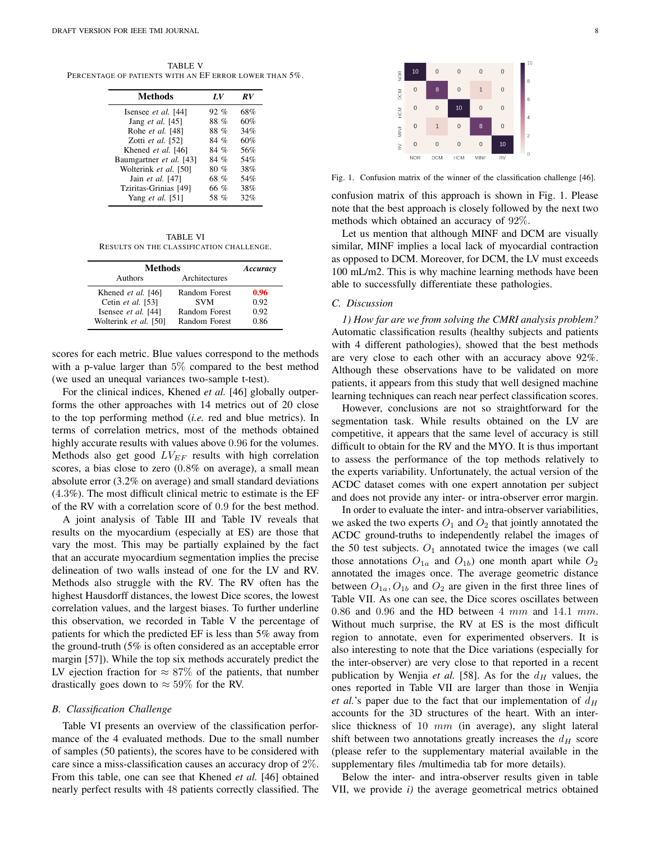TABLE V PERCENTAGE OF PATIENTS WITH AN EF ERROR LOWER THAN 5%.

| Methods                 | $_{LV}$  | RV  |
|-------------------------|----------|-----|
| Isensee et al. $[44]$   | $92. \%$ | 68% |
| Jang et al. [45]        | 88%      | 60% |
| Rohe et al. [48]        | 88%      | 34% |
| Zotti et al. [52]       | $84\%$   | 60% |
| Khened et al. [46]      | $84\%$   | 56% |
| Baumgartner et al. [43] | $84\%$   | 54% |
| Wolterink et al. [50]   | 80%      | 38% |
| Jain et al. [47]        | 68 %     | 54% |
| Tziritas-Grinias [49]   | 66 %     | 38% |
| Yang et al. [51]        | 58%      | 32% |

TABLE VI RESULTS ON THE CLASSIFICATION CHALLENGE.

| <b>Methods</b>        | Accuracy      |      |
|-----------------------|---------------|------|
| Authors               | Architectures |      |
| Khened et al. [46]    | Random Forest | 0.96 |
| Cetin et al. [53]     | <b>SVM</b>    | 0.92 |
| Isensee et al. [44]   | Random Forest | 0.92 |
| Wolterink et al. [50] | Random Forest | 0.86 |

scores for each metric. Blue values correspond to the methods with a p-value larger than 5% compared to the best method (we used an unequal variances two-sample t-test).

For the clinical indices, Khened *et al.* [46] globally outperforms the other approaches with 14 metrics out of 20 close to the top performing method (*i.e.* red and blue metrics). In terms of correlation metrics, most of the methods obtained highly accurate results with values above 0.96 for the volumes. Methods also get good  $LV_{EF}$  results with high correlation scores, a bias close to zero (0.8% on average), a small mean absolute error (3.2% on average) and small standard deviations (4.3%). The most difficult clinical metric to estimate is the EF of the RV with a correlation score of 0.9 for the best method.

A joint analysis of Table III and Table IV reveals that results on the myocardium (especially at ES) are those that vary the most. This may be partially explained by the fact that an accurate myocardium segmentation implies the precise delineation of two walls instead of one for the LV and RV. Methods also struggle with the RV. The RV often has the highest Hausdorff distances, the lowest Dice scores, the lowest correlation values, and the largest biases. To further underline this observation, we recorded in Table V the percentage of patients for which the predicted EF is less than 5% away from the ground-truth (5% is often considered as an acceptable error margin [57]). While the top six methods accurately predict the LV ejection fraction for  $\approx 87\%$  of the patients, that number drastically goes down to  $\approx 59\%$  for the RV.

### *B. Classification Challenge*

Table VI presents an overview of the classification performance of the 4 evaluated methods. Due to the small number of samples (50 patients), the scores have to be considered with care since a miss-classification causes an accuracy drop of 2%. From this table, one can see that Khened *et al.* [46] obtained nearly perfect results with 48 patients correctly classified. The



Fig. 1. Confusion matrix of the winner of the classification challenge [46].

confusion matrix of this approach is shown in Fig. 1. Please note that the best approach is closely followed by the next two methods which obtained an accuracy of 92%.

Let us mention that although MINF and DCM are visually similar, MINF implies a local lack of myocardial contraction as opposed to DCM. Moreover, for DCM, the LV must exceeds 100 mL/m2. This is why machine learning methods have been able to successfully differentiate these pathologies.

# *C. Discussion*

*1) How far are we from solving the CMRI analysis problem?* Automatic classification results (healthy subjects and patients with 4 different pathologies), showed that the best methods are very close to each other with an accuracy above 92%. Although these observations have to be validated on more patients, it appears from this study that well designed machine learning techniques can reach near perfect classification scores.

However, conclusions are not so straightforward for the segmentation task. While results obtained on the LV are competitive, it appears that the same level of accuracy is still difficult to obtain for the RV and the MYO. It is thus important to assess the performance of the top methods relatively to the experts variability. Unfortunately, the actual version of the ACDC dataset comes with one expert annotation per subject and does not provide any inter- or intra-observer error margin.

In order to evaluate the inter- and intra-observer variabilities, we asked the two experts  $O_1$  and  $O_2$  that jointly annotated the ACDC ground-truths to independently relabel the images of the 50 test subjects.  $O_1$  annotated twice the images (we call those annotations  $O_{1a}$  and  $O_{1b}$ ) one month apart while  $O_2$ annotated the images once. The average geometric distance between  $O_{1a}$ ,  $O_{1b}$  and  $O_2$  are given in the first three lines of Table VII. As one can see, the Dice scores oscillates between 0.86 and 0.96 and the HD between 4  $mm$  and 14.1  $mm$ . Without much surprise, the RV at ES is the most difficult region to annotate, even for experimented observers. It is also interesting to note that the Dice variations (especially for the inter-observer) are very close to that reported in a recent publication by Wenjia *et al.* [58]. As for the  $d<sub>H</sub>$  values, the ones reported in Table VII are larger than those in Wenjia *et al.*'s paper due to the fact that our implementation of  $d_H$ accounts for the 3D structures of the heart. With an interslice thickness of 10  $mm$  (in average), any slight lateral shift between two annotations greatly increases the  $d_H$  score (please refer to the supplementary material available in the supplementary files /multimedia tab for more details).

Below the inter- and intra-observer results given in table VII, we provide *i)* the average geometrical metrics obtained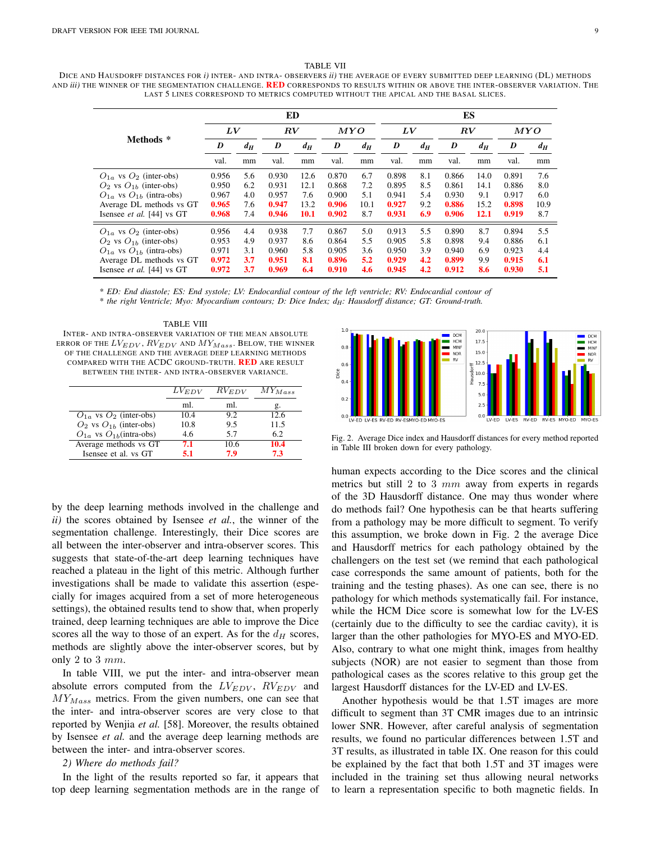#### TABLE VII

DICE AND HAUSDORFF DISTANCES FOR *i)* INTER- AND INTRA- OBSERVERS *ii)* THE AVERAGE OF EVERY SUBMITTED DEEP LEARNING (DL) METHODS AND *iii)* THE WINNER OF THE SEGMENTATION CHALLENGE. RED CORRESPONDS TO RESULTS WITHIN OR ABOVE THE INTER-OBSERVER VARIATION. THE LAST 5 LINES CORRESPOND TO METRICS COMPUTED WITHOUT THE APICAL AND THE BASAL SLICES.

|                                  |       |       | ED    |       |       |       | ES              |       |       |       |       |       |
|----------------------------------|-------|-------|-------|-------|-------|-------|-----------------|-------|-------|-------|-------|-------|
|                                  | LV    |       | RV    |       | MYO   |       | $\bm{L} \bm{V}$ |       | RV    |       | MYO   |       |
| Methods *                        | D     | $d_H$ | D     | $d_H$ | D     | $d_H$ | D               | $d_H$ | D     | $d_H$ | D     | $d_H$ |
|                                  | val.  | mm    | val.  | mm    | val.  | mm    | val.            | mm    | val.  | mm    | val.  | mm    |
| $O_{1a}$ vs $O_2$ (inter-obs)    | 0.956 | 5.6   | 0.930 | 12.6  | 0.870 | 6.7   | 0.898           | 8.1   | 0.866 | 14.0  | 0.891 | 7.6   |
| $O_2$ vs $O_{1h}$ (inter-obs)    | 0.950 | 6.2   | 0.931 | 12.1  | 0.868 | 7.2   | 0.895           | 8.5   | 0.861 | 14.1  | 0.886 | 8.0   |
| $O_{1a}$ vs $O_{1b}$ (intra-obs) | 0.967 | 4.0   | 0.957 | 7.6   | 0.900 | 5.1   | 0.941           | 5.4   | 0.930 | 9.1   | 0.917 | 6.0   |
| Average DL methods vs GT         | 0.965 | 7.6   | 0.947 | 13.2  | 0.906 | 10.1  | 0.927           | 9.2   | 0.886 | 15.2  | 0.898 | 10.9  |
| Isensee et al. [44] vs GT        | 0.968 | 7.4   | 0.946 | 10.1  | 0.902 | 8.7   | 0.931           | 6.9   | 0.906 | 12.1  | 0.919 | 8.7   |
| $O_{1a}$ vs $O_2$ (inter-obs)    | 0.956 | 4.4   | 0.938 | 7.7   | 0.867 | 5.0   | 0.913           | 5.5   | 0.890 | 8.7   | 0.894 | 5.5   |
| $O_2$ vs $O_{1h}$ (inter-obs)    | 0.953 | 4.9   | 0.937 | 8.6   | 0.864 | 5.5   | 0.905           | 5.8   | 0.898 | 9.4   | 0.886 | 6.1   |
| $O_{1a}$ vs $O_{1b}$ (intra-obs) | 0.971 | 3.1   | 0.960 | 5.8   | 0.905 | 3.6   | 0.950           | 3.9   | 0.940 | 6.9   | 0.923 | 4.4   |
| Average DL methods vs GT         | 0.972 | 3.7   | 0.951 | 8.1   | 0.896 | 5.2   | 0.929           | 4.2   | 0.899 | 9.9   | 0.915 | 6.1   |
| Isensee et al. [44] vs GT        | 0.972 | 3.7   | 0.969 | 6.4   | 0.910 | 4.6   | 0.945           | 4.2   | 0.912 | 8.6   | 0.930 | 5.1   |

\* *ED: End diastole; ES: End systole; LV: Endocardial contour of the left ventricle; RV: Endocardial contour of*

\* *the right Ventricle; Myo: Myocardium contours; D: Dice Index; dH: Hausdorff distance; GT: Ground-truth.*

TABLE VIII INTER- AND INTRA-OBSERVER VARIATION OF THE MEAN ABSOLUTE ERROR OF THE  $LV_{EDV}$ ,  $RV_{EDV}$  and  $MY_{Mass}$ . Below, the winner OF THE CHALLENGE AND THE AVERAGE DEEP LEARNING METHODS COMPARED WITH THE ACDC GROUND-TRUTH. RED ARE RESULT BETWEEN THE INTER- AND INTRA-OBSERVER VARIANCE.

|                                  | $LV_{EDV}$ | $RV_{EDV}$ | $MY_{Mass}$ |
|----------------------------------|------------|------------|-------------|
|                                  | ml.        | ml.        | g.          |
| $O_{1a}$ vs $O_2$ (inter-obs)    | 10.4       | 9.2        | 12.6        |
| $O_2$ vs $O_{1b}$ (inter-obs)    | 10.8       | 9.5        | 11.5        |
| $O_{1a}$ vs $O_{1b}$ (intra-obs) | 4.6        | 5.7        | 62          |
| Average methods vs GT            | 7.1        | 10.6       | 10.4        |
| Isensee et al. vs GT             | 5.1        | 79         | 7.3         |

by the deep learning methods involved in the challenge and *ii)* the scores obtained by Isensee *et al.*, the winner of the segmentation challenge. Interestingly, their Dice scores are all between the inter-observer and intra-observer scores. This suggests that state-of-the-art deep learning techniques have reached a plateau in the light of this metric. Although further investigations shall be made to validate this assertion (especially for images acquired from a set of more heterogeneous settings), the obtained results tend to show that, when properly trained, deep learning techniques are able to improve the Dice scores all the way to those of an expert. As for the  $d_H$  scores, methods are slightly above the inter-observer scores, but by only 2 to 3 mm.

In table VIII, we put the inter- and intra-observer mean absolute errors computed from the  $LV_{EDV}$ ,  $RV_{EDV}$  and  $MY_{Mass}$  metrics. From the given numbers, one can see that the inter- and intra-observer scores are very close to that reported by Wenjia *et al.* [58]. Moreover, the results obtained by Isensee *et al.* and the average deep learning methods are between the inter- and intra-observer scores.

### *2) Where do methods fail?*

In the light of the results reported so far, it appears that top deep learning segmentation methods are in the range of



Fig. 2. Average Dice index and Hausdorff distances for every method reported in Table III broken down for every pathology.

human expects according to the Dice scores and the clinical metrics but still 2 to 3 mm away from experts in regards of the 3D Hausdorff distance. One may thus wonder where do methods fail? One hypothesis can be that hearts suffering from a pathology may be more difficult to segment. To verify this assumption, we broke down in Fig. 2 the average Dice and Hausdorff metrics for each pathology obtained by the challengers on the test set (we remind that each pathological case corresponds the same amount of patients, both for the training and the testing phases). As one can see, there is no pathology for which methods systematically fail. For instance, while the HCM Dice score is somewhat low for the LV-ES (certainly due to the difficulty to see the cardiac cavity), it is larger than the other pathologies for MYO-ES and MYO-ED. Also, contrary to what one might think, images from healthy subjects (NOR) are not easier to segment than those from pathological cases as the scores relative to this group get the largest Hausdorff distances for the LV-ED and LV-ES.

Another hypothesis would be that 1.5T images are more difficult to segment than 3T CMR images due to an intrinsic lower SNR. However, after careful analysis of segmentation results, we found no particular differences between 1.5T and 3T results, as illustrated in table IX. One reason for this could be explained by the fact that both 1.5T and 3T images were included in the training set thus allowing neural networks to learn a representation specific to both magnetic fields. In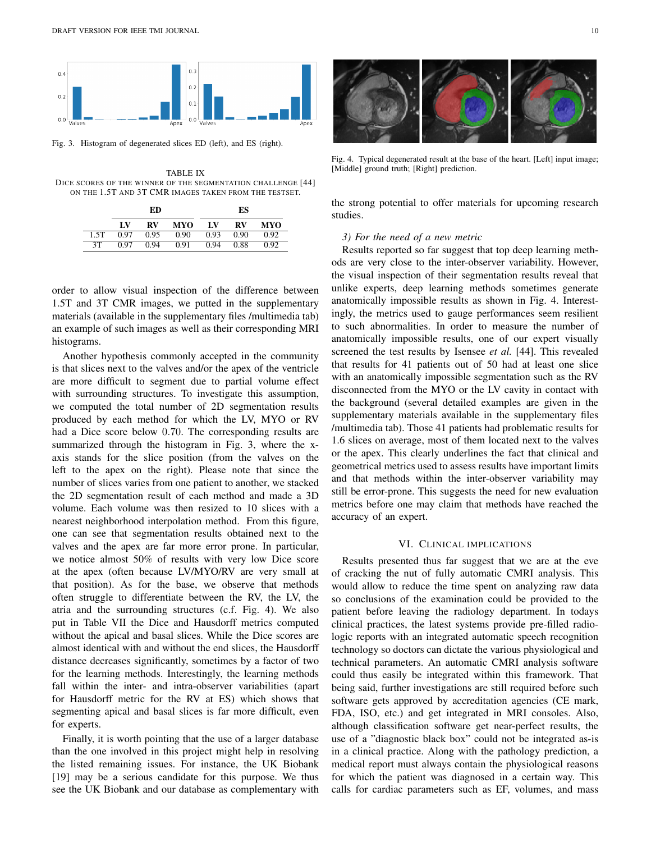

Fig. 3. Histogram of degenerated slices ED (left), and ES (right).

TABLE IX DICE SCORES OF THE WINNER OF THE SEGMENTATION CHALLENGE [44] ON THE 1.5T AND 3T CMR IMAGES TAKEN FROM THE TESTSET.

|      |      | ED                     |      |      | ES   |      |
|------|------|------------------------|------|------|------|------|
|      | LV   | $\mathbf{R}\mathbf{V}$ | MYO  | LV   | RV   | MYO  |
| 1.5T | 0.97 | 0.95                   | 0.90 | 0.93 | 0.90 | 0.92 |
| 3T   | 0.97 | 0.94                   | 0.91 | 0.94 | 0.88 | 0.92 |

order to allow visual inspection of the difference between 1.5T and 3T CMR images, we putted in the supplementary materials (available in the supplementary files /multimedia tab) an example of such images as well as their corresponding MRI histograms.

Another hypothesis commonly accepted in the community is that slices next to the valves and/or the apex of the ventricle are more difficult to segment due to partial volume effect with surrounding structures. To investigate this assumption, we computed the total number of 2D segmentation results produced by each method for which the LV, MYO or RV had a Dice score below 0.70. The corresponding results are summarized through the histogram in Fig. 3, where the xaxis stands for the slice position (from the valves on the left to the apex on the right). Please note that since the number of slices varies from one patient to another, we stacked the 2D segmentation result of each method and made a 3D volume. Each volume was then resized to 10 slices with a nearest neighborhood interpolation method. From this figure, one can see that segmentation results obtained next to the valves and the apex are far more error prone. In particular, we notice almost 50% of results with very low Dice score at the apex (often because LV/MYO/RV are very small at that position). As for the base, we observe that methods often struggle to differentiate between the RV, the LV, the atria and the surrounding structures (c.f. Fig. 4). We also put in Table VII the Dice and Hausdorff metrics computed without the apical and basal slices. While the Dice scores are almost identical with and without the end slices, the Hausdorff distance decreases significantly, sometimes by a factor of two for the learning methods. Interestingly, the learning methods fall within the inter- and intra-observer variabilities (apart for Hausdorff metric for the RV at ES) which shows that segmenting apical and basal slices is far more difficult, even for experts.

Finally, it is worth pointing that the use of a larger database than the one involved in this project might help in resolving the listed remaining issues. For instance, the UK Biobank [19] may be a serious candidate for this purpose. We thus see the UK Biobank and our database as complementary with



Fig. 4. Typical degenerated result at the base of the heart. [Left] input image; [Middle] ground truth; [Right] prediction.

the strong potential to offer materials for upcoming research studies.

#### *3) For the need of a new metric*

Results reported so far suggest that top deep learning methods are very close to the inter-observer variability. However, the visual inspection of their segmentation results reveal that unlike experts, deep learning methods sometimes generate anatomically impossible results as shown in Fig. 4. Interestingly, the metrics used to gauge performances seem resilient to such abnormalities. In order to measure the number of anatomically impossible results, one of our expert visually screened the test results by Isensee *et al.* [44]. This revealed that results for 41 patients out of 50 had at least one slice with an anatomically impossible segmentation such as the RV disconnected from the MYO or the LV cavity in contact with the background (several detailed examples are given in the supplementary materials available in the supplementary files /multimedia tab). Those 41 patients had problematic results for 1.6 slices on average, most of them located next to the valves or the apex. This clearly underlines the fact that clinical and geometrical metrics used to assess results have important limits and that methods within the inter-observer variability may still be error-prone. This suggests the need for new evaluation metrics before one may claim that methods have reached the accuracy of an expert.

# VI. CLINICAL IMPLICATIONS

Results presented thus far suggest that we are at the eve of cracking the nut of fully automatic CMRI analysis. This would allow to reduce the time spent on analyzing raw data so conclusions of the examination could be provided to the patient before leaving the radiology department. In todays clinical practices, the latest systems provide pre-filled radiologic reports with an integrated automatic speech recognition technology so doctors can dictate the various physiological and technical parameters. An automatic CMRI analysis software could thus easily be integrated within this framework. That being said, further investigations are still required before such software gets approved by accreditation agencies (CE mark, FDA, ISO, etc.) and get integrated in MRI consoles. Also, although classification software get near-perfect results, the use of a "diagnostic black box" could not be integrated as-is in a clinical practice. Along with the pathology prediction, a medical report must always contain the physiological reasons for which the patient was diagnosed in a certain way. This calls for cardiac parameters such as EF, volumes, and mass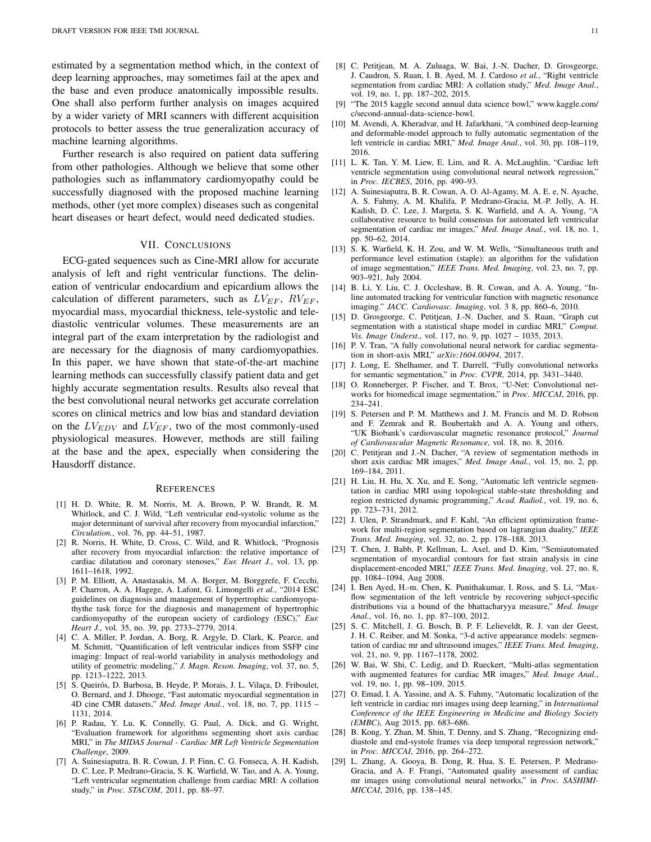estimated by a segmentation method which, in the context of deep learning approaches, may sometimes fail at the apex and the base and even produce anatomically impossible results. One shall also perform further analysis on images acquired by a wider variety of MRI scanners with different acquisition protocols to better assess the true generalization accuracy of machine learning algorithms.

Further research is also required on patient data suffering from other pathologies. Although we believe that some other pathologies such as inflammatory cardiomyopathy could be successfully diagnosed with the proposed machine learning methods, other (yet more complex) diseases such as congenital heart diseases or heart defect, would need dedicated studies.

# VII. CONCLUSIONS

ECG-gated sequences such as Cine-MRI allow for accurate analysis of left and right ventricular functions. The delineation of ventricular endocardium and epicardium allows the calculation of different parameters, such as  $LV_{EF}$ ,  $RV_{EF}$ , myocardial mass, myocardial thickness, tele-systolic and telediastolic ventricular volumes. These measurements are an integral part of the exam interpretation by the radiologist and are necessary for the diagnosis of many cardiomyopathies. In this paper, we have shown that state-of-the-art machine learning methods can successfully classify patient data and get highly accurate segmentation results. Results also reveal that the best convolutional neural networks get accurate correlation scores on clinical metrics and low bias and standard deviation on the  $LV_{EDV}$  and  $LV_{EF}$ , two of the most commonly-used physiological measures. However, methods are still failing at the base and the apex, especially when considering the Hausdorff distance.

#### **REFERENCES**

- [1] H. D. White, R. M. Norris, M. A. Brown, P. W. Brandt, R. M. Whitlock, and C. J. Wild, "Left ventricular end-systolic volume as the major determinant of survival after recovery from myocardial infarction," *Circulation.*, vol. 76, pp. 44–51, 1987.
- [2] R. Norris, H. White, D. Cross, C. Wild, and R. Whitlock, "Prognosis after recovery from myocardial infarction: the relative importance of cardiac dilatation and coronary stenoses," *Eur. Heart J.*, vol. 13, pp. 1611–1618, 1992.
- [3] P. M. Elliott, A. Anastasakis, M. A. Borger, M. Borggrefe, F. Cecchi, P. Charron, A. A. Hagege, A. Lafont, G. Limongelli *et al.*, "2014 ESC guidelines on diagnosis and management of hypertrophic cardiomyopathythe task force for the diagnosis and management of hypertrophic cardiomyopathy of the european society of cardiology (ESC)," *Eur. Heart J.*, vol. 35, no. 39, pp. 2733–2779, 2014.
- [4] C. A. Miller, P. Jordan, A. Borg, R. Argyle, D. Clark, K. Pearce, and M. Schmitt, "Quantification of left ventricular indices from SSFP cine imaging: Impact of real-world variability in analysis methodology and utility of geometric modeling," *J. Magn. Reson. Imaging*, vol. 37, no. 5, pp. 1213–1222, 2013.
- [5] S. Queirós, D. Barbosa, B. Heyde, P. Morais, J. L. Vilaça, D. Friboulet, O. Bernard, and J. Dhooge, "Fast automatic myocardial segmentation in 4D cine CMR datasets," *Med. Image Anal.*, vol. 18, no. 7, pp. 1115 – 1131, 2014.
- [6] P. Radau, Y. Lu, K. Connelly, G. Paul, A. Dick, and G. Wright, "Evaluation framework for algorithms segmenting short axis cardiac MRI," in *The MIDAS Journal - Cardiac MR Left Ventricle Segmentation Challenge*, 2009.
- [7] A. Suinesiaputra, B. R. Cowan, J. P. Finn, C. G. Fonseca, A. H. Kadish, D. C. Lee, P. Medrano-Gracia, S. K. Warfield, W. Tao, and A. A. Young, "Left ventricular segmentation challenge from cardiac MRI: A collation study," in *Proc. STACOM*, 2011, pp. 88–97.
- [8] C. Petitjean, M. A. Zuluaga, W. Bai, J.-N. Dacher, D. Grosgeorge, J. Caudron, S. Ruan, I. B. Ayed, M. J. Cardoso *et al.*, "Right ventricle segmentation from cardiac MRI: A collation study," *Med. Image Anal.*, vol. 19, no. 1, pp. 187–202, 2015.
- [9] "The 2015 kaggle second annual data science bowl," www.kaggle.com/ c/second-annual-data-science-bowl.
- [10] M. Avendi, A. Kheradvar, and H. Jafarkhani, "A combined deep-learning and deformable-model approach to fully automatic segmentation of the left ventricle in cardiac MRI," *Med. Image Anal.*, vol. 30, pp. 108–119, 2016.
- [11] L. K. Tan, Y. M. Liew, E. Lim, and R. A. McLaughlin, "Cardiac left ventricle segmentation using convolutional neural network regression," in *Proc. IECBES*, 2016, pp. 490–93.
- [12] A. Suinesiaputra, B. R. Cowan, A. O. Al-Agamy, M. A. E. e, N. Ayache, A. S. Fahmy, A. M. Khalifa, P. Medrano-Gracia, M.-P. Jolly, A. H. Kadish, D. C. Lee, J. Margeta, S. K. Warfield, and A. A. Young, "A collaborative resource to build consensus for automated left ventricular segmentation of cardiac mr images," *Med. Image Anal.*, vol. 18, no. 1, pp. 50–62, 2014.
- [13] S. K. Warfield, K. H. Zou, and W. M. Wells, "Simultaneous truth and performance level estimation (staple): an algorithm for the validation of image segmentation," *IEEE Trans. Med. Imaging*, vol. 23, no. 7, pp. 903–921, July 2004.
- [14] B. Li, Y. Liu, C. J. Occleshaw, B. R. Cowan, and A. A. Young, "Inline automated tracking for ventricular function with magnetic resonance imaging." *JACC. Cardiovasc. Imaging*, vol. 3 8, pp. 860–6, 2010.
- [15] D. Grosgeorge, C. Petitjean, J.-N. Dacher, and S. Ruan, "Graph cut segmentation with a statistical shape model in cardiac MRI," *Comput. Vis. Image Underst.*, vol. 117, no. 9, pp. 1027 – 1035, 2013.
- [16] P. V. Tran, "A fully convolutional neural network for cardiac segmentation in short-axis MRI," *arXiv:1604.00494*, 2017.
- [17] J. Long, E. Shelhamer, and T. Darrell, "Fully convolutional networks for semantic segmentation," in *Proc. CVPR*, 2014, pp. 3431–3440.
- [18] O. Ronneberger, P. Fischer, and T. Brox, "U-Net: Convolutional networks for biomedical image segmentation," in *Proc. MICCAI*, 2016, pp. 234–241.
- [19] S. Petersen and P. M. Matthews and J. M. Francis and M. D. Robson and F. Zemrak and R. Boubertakh and A. A. Young and others, "UK Biobank's cardiovascular magnetic resonance protocol," *Journal of Cardiovascular Magnetic Resonance*, vol. 18, no. 8, 2016.
- [20] C. Petitjean and J.-N. Dacher, "A review of segmentation methods in short axis cardiac MR images," *Med. Image Anal.*, vol. 15, no. 2, pp. 169–184, 2011.
- [21] H. Liu, H. Hu, X. Xu, and E. Song, "Automatic left ventricle segmentation in cardiac MRI using topological stable-state thresholding and region restricted dynamic programming," *Acad. Radiol.*, vol. 19, no. 6, pp. 723–731, 2012.
- [22] J. Ulen, P. Strandmark, and F. Kahl, "An efficient optimization framework for multi-region segmentation based on lagrangian duality," *IEEE Trans. Med. Imaging*, vol. 32, no. 2, pp. 178–188, 2013.
- [23] T. Chen, J. Babb, P. Kellman, L. Axel, and D. Kim, "Semiautomated segmentation of myocardial contours for fast strain analysis in cine displacement-encoded MRI," *IEEE Trans. Med. Imaging*, vol. 27, no. 8, pp. 1084–1094, Aug 2008.
- [24] I. Ben Ayed, H.-m. Chen, K. Punithakumar, I. Ross, and S. Li, "Maxflow segmentation of the left ventricle by recovering subject-specific distributions via a bound of the bhattacharyya measure," *Med. Image Anal.*, vol. 16, no. 1, pp. 87–100, 2012.
- [25] S. C. Mitchell, J. G. Bosch, B. P. F. Lelieveldt, R. J. van der Geest, J. H. C. Reiber, and M. Sonka, "3-d active appearance models: segmentation of cardiac mr and ultrasound images," *IEEE Trans. Med. Imaging*, vol. 21, no. 9, pp. 1167–1178, 2002.
- [26] W. Bai, W. Shi, C. Ledig, and D. Rueckert, "Multi-atlas segmentation with augmented features for cardiac MR images," *Med. Image Anal.*, vol. 19, no. 1, pp. 98–109, 2015.
- [27] O. Emad, I. A. Yassine, and A. S. Fahmy, "Automatic localization of the left ventricle in cardiac mri images using deep learning," in *International Conference of the IEEE Engineering in Medicine and Biology Society (EMBC)*, Aug 2015, pp. 683–686.
- [28] B. Kong, Y. Zhan, M. Shin, T. Denny, and S. Zhang, "Recognizing enddiastole and end-systole frames via deep temporal regression network," in *Proc. MICCAI*, 2016, pp. 264–272.
- [29] L. Zhang, A. Gooya, B. Dong, R. Hua, S. E. Petersen, P. Medrano-Gracia, and A. F. Frangi, "Automated quality assessment of cardiac mr images using convolutional neural networks," in *Proc. SASHIMI-MICCAI*, 2016, pp. 138–145.